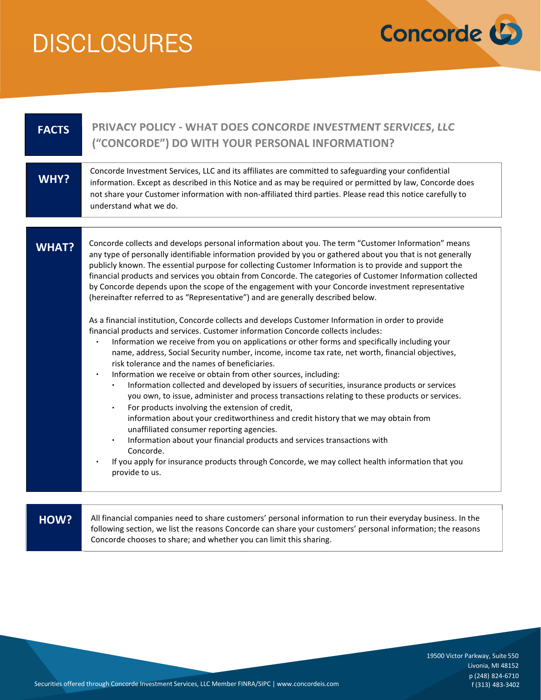

| <b>FACTS</b> | PRIVACY POLICY - WHAT DOES CONCORDE INVESTMENT SERVICES, LLC<br>("CONCORDE") DO WITH YOUR PERSONAL INFORMATION?                                                                                                                                                                                                                                                                                                                                                                                                                                                                                                                                                                                                                                                                                                                                                                                                                                                                                                                                                                                                                                                                                                                                                                                                                                                                                                                                                                                                                                                                                                                                                                                                                                                                               |
|--------------|-----------------------------------------------------------------------------------------------------------------------------------------------------------------------------------------------------------------------------------------------------------------------------------------------------------------------------------------------------------------------------------------------------------------------------------------------------------------------------------------------------------------------------------------------------------------------------------------------------------------------------------------------------------------------------------------------------------------------------------------------------------------------------------------------------------------------------------------------------------------------------------------------------------------------------------------------------------------------------------------------------------------------------------------------------------------------------------------------------------------------------------------------------------------------------------------------------------------------------------------------------------------------------------------------------------------------------------------------------------------------------------------------------------------------------------------------------------------------------------------------------------------------------------------------------------------------------------------------------------------------------------------------------------------------------------------------------------------------------------------------------------------------------------------------|
| <b>WHY?</b>  | Concorde Investment Services, LLC and its affiliates are committed to safeguarding your confidential<br>information. Except as described in this Notice and as may be required or permitted by law, Concorde does<br>not share your Customer information with non-affiliated third parties. Please read this notice carefully to<br>understand what we do.                                                                                                                                                                                                                                                                                                                                                                                                                                                                                                                                                                                                                                                                                                                                                                                                                                                                                                                                                                                                                                                                                                                                                                                                                                                                                                                                                                                                                                    |
| <b>WHAT?</b> | Concorde collects and develops personal information about you. The term "Customer Information" means<br>any type of personally identifiable information provided by you or gathered about you that is not generally<br>publicly known. The essential purpose for collecting Customer Information is to provide and support the<br>financial products and services you obtain from Concorde. The categories of Customer Information collected<br>by Concorde depends upon the scope of the engagement with your Concorde investment representative<br>(hereinafter referred to as "Representative") and are generally described below.<br>As a financial institution, Concorde collects and develops Customer Information in order to provide<br>financial products and services. Customer information Concorde collects includes:<br>Information we receive from you on applications or other forms and specifically including your<br>name, address, Social Security number, income, income tax rate, net worth, financial objectives,<br>risk tolerance and the names of beneficiaries.<br>Information we receive or obtain from other sources, including:<br>Information collected and developed by issuers of securities, insurance products or services<br>you own, to issue, administer and process transactions relating to these products or services.<br>For products involving the extension of credit,<br>$\bullet$<br>information about your creditworthiness and credit history that we may obtain from<br>unaffiliated consumer reporting agencies.<br>Information about your financial products and services transactions with<br>$\bullet$<br>Concorde.<br>If you apply for insurance products through Concorde, we may collect health information that you<br>provide to us. |
| HOW?         | All financial companies need to share customers' personal information to run their everyday business. In the<br>following section, we list the reasons Concorde can share your customers' personal information; the reasons<br>Concorde chooses to share; and whether you can limit this sharing.                                                                                                                                                                                                                                                                                                                                                                                                                                                                                                                                                                                                                                                                                                                                                                                                                                                                                                                                                                                                                                                                                                                                                                                                                                                                                                                                                                                                                                                                                             |

19500 Victor Parkway, Suite 550 Livonia, MI 48152 p (248) 824-6710 f (313) 483-3402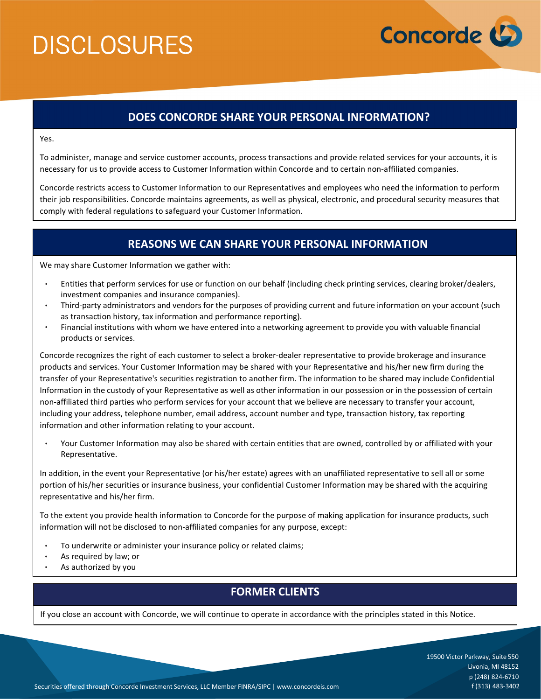

## DOES CONCORDE SHARE YOUR PERSONAL INFORMATION?

Yes.

To administer, manage and service customer accounts, process transactions and provide related services for your accounts, it is necessary for us to provide access to Customer Information within Concorde and to certain non-affiliated companies.

Concorde restricts access to Customer Information to our Representatives and employees who need the information to perform their job responsibilities. Concorde maintains agreements, as well as physical, electronic, and procedural security measures that comply with federal regulations to safeguard your Customer Information.

# REASONS WE CAN SHARE YOUR PERSONAL INFORMATION

We may share Customer Information we gather with:

- Entities that perform services for use or function on our behalf (including check printing services, clearing broker/dealers, investment companies and insurance companies).
- Third-party administrators and vendors for the purposes of providing current and future information on your account (such as transaction history, tax information and performance reporting).
- Financial institutions with whom we have entered into a networking agreement to provide you with valuable financial products or services.

Concorde recognizes the right of each customer to select a broker-dealer representative to provide brokerage and insurance products and services. Your Customer Information may be shared with your Representative and his/her new firm during the transfer of your Representative's securities registration to another firm. The information to be shared may include Confidential Information in the custody of your Representative as well as other information in our possession or in the possession of certain non-affiliated third parties who perform services for your account that we believe are necessary to transfer your account, including your address, telephone number, email address, account number and type, transaction history, tax reporting information and other information relating to your account.

Your Customer Information may also be shared with certain entities that are owned, controlled by or affiliated with your Representative.

In addition, in the event your Representative (or his/her estate) agrees with an unaffiliated representative to sell all or some portion of his/her securities or insurance business, your confidential Customer Information may be shared with the acquiring representative and his/her firm.

To the extent you provide health information to Concorde for the purpose of making application for insurance products, such information will not be disclosed to non-affiliated companies for any purpose, except:

- To underwrite or administer your insurance policy or related claims;
- $\bullet$ As required by law; or
- As authorized by you

## FORMER CLIENTS

If you close an account with Concorde, we will continue to operate in accordance with the principles stated in this Notice.

19500 Victor Parkway, Suite 550 Livonia, MI 48152 p (248) 824-6710 f (313) 483-3402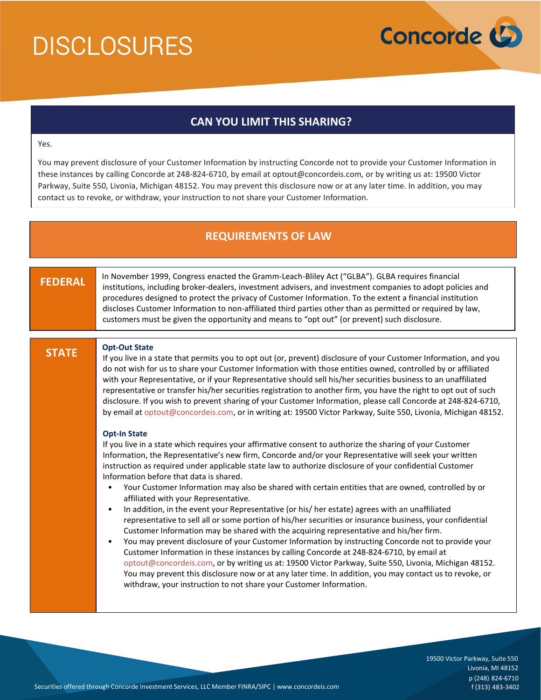

# CAN YOU LIMIT THIS SHARING?

#### Yes.

You may prevent disclosure of your Customer Information by instructing Concorde not to provide your Customer Information in these instances by calling Concorde at 248-824-6710, by email at optout@concordeis.com, or by writing us at: 19500 Victor Parkway, Suite 550, Livonia, Michigan 48152. You may prevent this disclosure now or at any later time. In addition, you may contact us to revoke, or withdraw, your instruction to not share your Customer Information.

# REQUIREMENTS OF LAW

### FEDERAL

 In November 1999, Congress enacted the Gramm-Leach-Bliley Act ("GLBA"). GLBA requires financial institutions, including broker-dealers, investment advisers, and investment companies to adopt policies and procedures designed to protect the privacy of Customer Information. To the extent a financial institution discloses Customer Information to non-affiliated third parties other than as permitted or required by law, customers must be given the opportunity and means to "opt out" (or prevent) such disclosure.

### STATE

### Opt-Out State

If you live in a state that permits you to opt out (or, prevent) disclosure of your Customer Information, and you do not wish for us to share your Customer Information with those entities owned, controlled by or affiliated with your Representative, or if your Representative should sell his/her securities business to an unaffiliated representative or transfer his/her securities registration to another firm, you have the right to opt out of such disclosure. If you wish to prevent sharing of your Customer Information, please call Concorde at 248-824-6710, by email at optout@concordeis.com, or in writing at: 19500 Victor Parkway, Suite 550, Livonia, Michigan 48152.

### Opt-In State

 If you live in a state which requires your affirmative consent to authorize the sharing of your Customer Information, the Representative's new firm, Concorde and/or your Representative will seek your written instruction as required under applicable state law to authorize disclosure of your confidential Customer Information before that data is shared.

- Your Customer Information may also be shared with certain entities that are owned, controlled by or affiliated with your Representative.
- In addition, in the event your Representative (or his/ her estate) agrees with an unaffiliated representative to sell all or some portion of his/her securities or insurance business, your confidential Customer Information may be shared with the acquiring representative and his/her firm.
- You may prevent disclosure of your Customer Information by instructing Concorde not to provide your Customer Information in these instances by calling Concorde at 248-824-6710, by email at optout@concordeis.com, or by writing us at: 19500 Victor Parkway, Suite 550, Livonia, Michigan 48152. You may prevent this disclosure now or at any later time. In addition, you may contact us to revoke, or withdraw, your instruction to not share your Customer Information.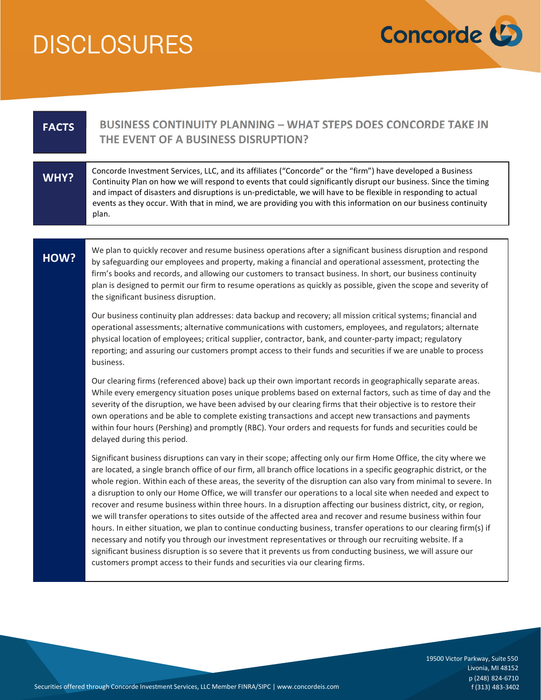

19500 Victor Parkway, Suite 550

| <b>FACTS</b> | BUSINESS CONTINUITY PLANNING – WHAT STEPS DOES CONCORDE TAKE IN<br>THE EVENT OF A BUSINESS DISRUPTION?                                                                                                                                                                                                                                                                                                                                                                                                                                                                                                                                                                                                                                                                                                                                                                                                                                                                                                                                                                                                                                                       |
|--------------|--------------------------------------------------------------------------------------------------------------------------------------------------------------------------------------------------------------------------------------------------------------------------------------------------------------------------------------------------------------------------------------------------------------------------------------------------------------------------------------------------------------------------------------------------------------------------------------------------------------------------------------------------------------------------------------------------------------------------------------------------------------------------------------------------------------------------------------------------------------------------------------------------------------------------------------------------------------------------------------------------------------------------------------------------------------------------------------------------------------------------------------------------------------|
| WHY?         | Concorde Investment Services, LLC, and its affiliates ("Concorde" or the "firm") have developed a Business<br>Continuity Plan on how we will respond to events that could significantly disrupt our business. Since the timing<br>and impact of disasters and disruptions is un-predictable, we will have to be flexible in responding to actual<br>events as they occur. With that in mind, we are providing you with this information on our business continuity<br>plan.                                                                                                                                                                                                                                                                                                                                                                                                                                                                                                                                                                                                                                                                                  |
|              |                                                                                                                                                                                                                                                                                                                                                                                                                                                                                                                                                                                                                                                                                                                                                                                                                                                                                                                                                                                                                                                                                                                                                              |
| HOW?         | We plan to quickly recover and resume business operations after a significant business disruption and respond<br>by safeguarding our employees and property, making a financial and operational assessment, protecting the<br>firm's books and records, and allowing our customers to transact business. In short, our business continuity<br>plan is designed to permit our firm to resume operations as quickly as possible, given the scope and severity of<br>the significant business disruption.                                                                                                                                                                                                                                                                                                                                                                                                                                                                                                                                                                                                                                                       |
|              | Our business continuity plan addresses: data backup and recovery; all mission critical systems; financial and<br>operational assessments; alternative communications with customers, employees, and regulators; alternate<br>physical location of employees; critical supplier, contractor, bank, and counter-party impact; regulatory<br>reporting; and assuring our customers prompt access to their funds and securities if we are unable to process<br>business.                                                                                                                                                                                                                                                                                                                                                                                                                                                                                                                                                                                                                                                                                         |
|              | Our clearing firms (referenced above) back up their own important records in geographically separate areas.<br>While every emergency situation poses unique problems based on external factors, such as time of day and the<br>severity of the disruption, we have been advised by our clearing firms that their objective is to restore their<br>own operations and be able to complete existing transactions and accept new transactions and payments<br>within four hours (Pershing) and promptly (RBC). Your orders and requests for funds and securities could be<br>delayed during this period.                                                                                                                                                                                                                                                                                                                                                                                                                                                                                                                                                        |
|              | Significant business disruptions can vary in their scope; affecting only our firm Home Office, the city where we<br>are located, a single branch office of our firm, all branch office locations in a specific geographic district, or the<br>whole region. Within each of these areas, the severity of the disruption can also vary from minimal to severe. In<br>a disruption to only our Home Office, we will transfer our operations to a local site when needed and expect to<br>recover and resume business within three hours. In a disruption affecting our business district, city, or region,<br>we will transfer operations to sites outside of the affected area and recover and resume business within four<br>hours. In either situation, we plan to continue conducting business, transfer operations to our clearing firm(s) if<br>necessary and notify you through our investment representatives or through our recruiting website. If a<br>significant business disruption is so severe that it prevents us from conducting business, we will assure our<br>customers prompt access to their funds and securities via our clearing firms. |

19500 Victor Parkway, Suite 550 Livonia, MI 48152 p (248) 824-6710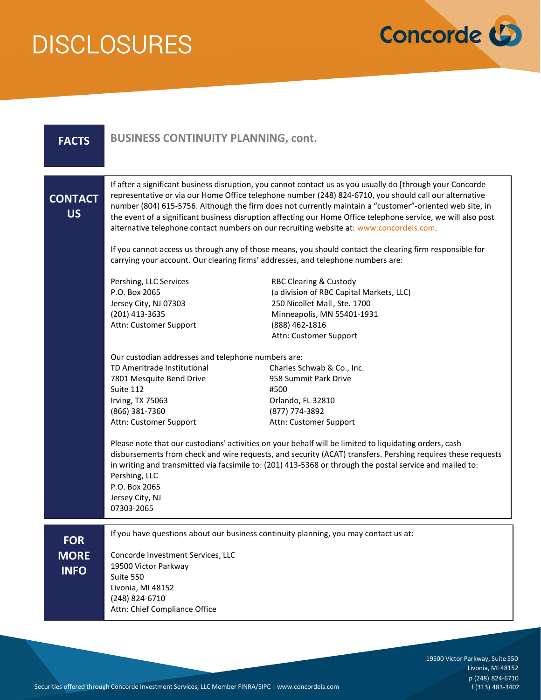

| <b>FACTS</b>                             | <b>BUSINESS CONTINUITY PLANNING, cont.</b>                                                                                                                                                                                                                                                                                                                                                                                                                                                                                                  |                                                                                                                                                                                         |  |
|------------------------------------------|---------------------------------------------------------------------------------------------------------------------------------------------------------------------------------------------------------------------------------------------------------------------------------------------------------------------------------------------------------------------------------------------------------------------------------------------------------------------------------------------------------------------------------------------|-----------------------------------------------------------------------------------------------------------------------------------------------------------------------------------------|--|
| <b>CONTACT</b><br><b>US</b>              | If after a significant business disruption, you cannot contact us as you usually do [through your Concorde<br>representative or via our Home Office telephone number (248) 824-6710, you should call our alternative<br>number (804) 615-5756. Although the firm does not currently maintain a "customer"-oriented web site, in<br>the event of a significant business disruption affecting our Home Office telephone service, we will also post<br>alternative telephone contact numbers on our recruiting website at: www.concordeis.com. |                                                                                                                                                                                         |  |
|                                          | If you cannot access us through any of those means, you should contact the clearing firm responsible for<br>carrying your account. Our clearing firms' addresses, and telephone numbers are:                                                                                                                                                                                                                                                                                                                                                |                                                                                                                                                                                         |  |
|                                          | Pershing, LLC Services<br>P.O. Box 2065<br>Jersey City, NJ 07303<br>(201) 413-3635<br>Attn: Customer Support                                                                                                                                                                                                                                                                                                                                                                                                                                | <b>RBC Clearing &amp; Custody</b><br>(a division of RBC Capital Markets, LLC)<br>250 Nicollet Mall, Ste. 1700<br>Minneapolis, MN 55401-1931<br>(888) 462-1816<br>Attn: Customer Support |  |
|                                          | Our custodian addresses and telephone numbers are:<br>TD Ameritrade Institutional<br>7801 Mesquite Bend Drive<br>Suite 112<br>Irving, TX 75063<br>(866) 381-7360<br>Attn: Customer Support                                                                                                                                                                                                                                                                                                                                                  | Charles Schwab & Co., Inc.<br>958 Summit Park Drive<br>#500<br>Orlando, FL 32810<br>(877) 774-3892<br>Attn: Customer Support                                                            |  |
|                                          | Please note that our custodians' activities on your behalf will be limited to liquidating orders, cash<br>disbursements from check and wire requests, and security (ACAT) transfers. Pershing requires these requests<br>in writing and transmitted via facsimile to: (201) 413-5368 or through the postal service and mailed to:<br>Pershing, LLC<br>P.O. Box 2065<br>Jersey City, NJ<br>07303-2065                                                                                                                                        |                                                                                                                                                                                         |  |
| <b>FOR</b><br><b>MORE</b><br><b>INFO</b> | Concorde Investment Services, LLC<br>19500 Victor Parkway<br>Suite 550<br>Livonia, MI 48152<br>(248) 824-6710<br>Attn: Chief Compliance Office                                                                                                                                                                                                                                                                                                                                                                                              | If you have questions about our business continuity planning, you may contact us at:                                                                                                    |  |

19500 Victor Parkway, Suite 550 Livonia, MI 48152 p (248) 824-6710